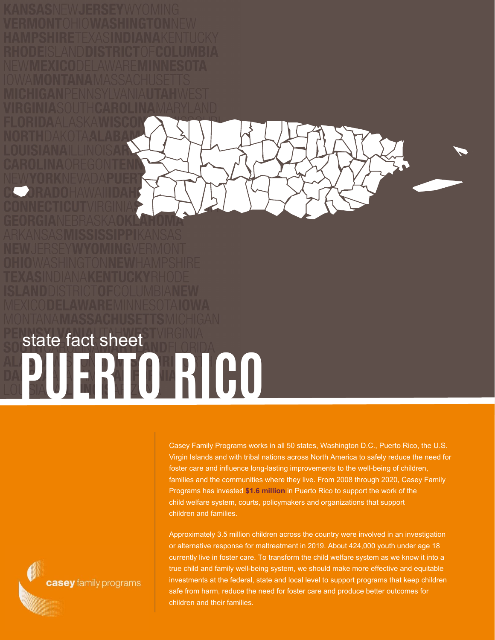

## **PUERTO RICO** state fact sheet

Casey Family Programs works in all 50 states, Washington D.C., Puerto Rico, the U.S. Virgin Islands and with tribal nations across North America to safely reduce the need for foster care and influence long-lasting improvements to the well-being of children, families and the communities where they live. From 2008 through 2020, Casey Family Programs has invested **\$1.6 million** in Puerto Rico to support the work of the child welfare system, courts, policymakers and organizations that support children and families.

Approximately 3.5 million children across the country were involved in an investigation or alternative response for maltreatment in 2019. About 424,000 youth under age 18 currently live in foster care. To transform the child welfare system as we know it into a true child and family well-being system, we should make more effective and equitable investments at the federal, state and local level to support programs that keep children safe from harm, reduce the need for foster care and produce better outcomes for children and their families.

casey family programs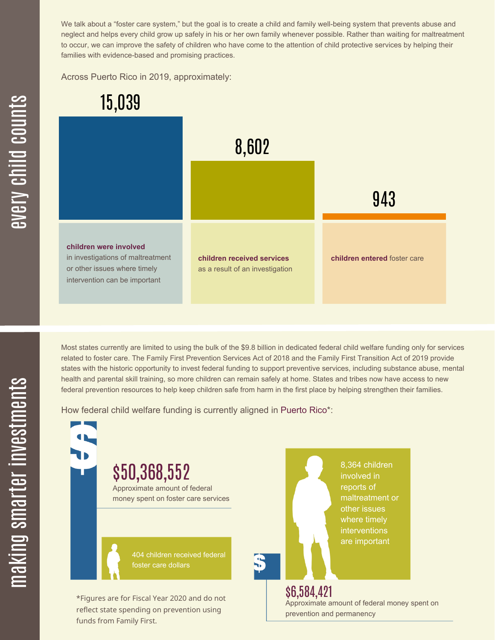We talk about a "foster care system," but the goal is to create a child and family well-being system that prevents abuse and neglect and helps every child grow up safely in his or her own family whenever possible. Rather than waiting for maltreatment to occur, we can improve the safety of children who have come to the attention of child protective services by helping their families with evidence-based and promising practices.

Across Puerto Rico in 2019, approximately:



Most states currently are limited to using the bulk of the \$9.8 billion in dedicated federal child welfare funding only for services related to foster care. The Family First Prevention Services Act of 2018 and the Family First Transition Act of 2019 provide states with the historic opportunity to invest federal funding to support preventive services, including substance abuse, mental health and parental skill training, so more children can remain safely at home. States and tribes now have access to new federal prevention resources to help keep children safe from harm in the first place by helping strengthen their families.

How federal child welfare funding is currently aligned in Puerto Rico\*:



 $\mathbf \Xi$ **CO** kin gs $\mathbf \Xi$ **CO** rtæ r in  $\, >$ c جا  $\mathbf \Xi$ c  $\blacksquare$  $\mathbf{S}$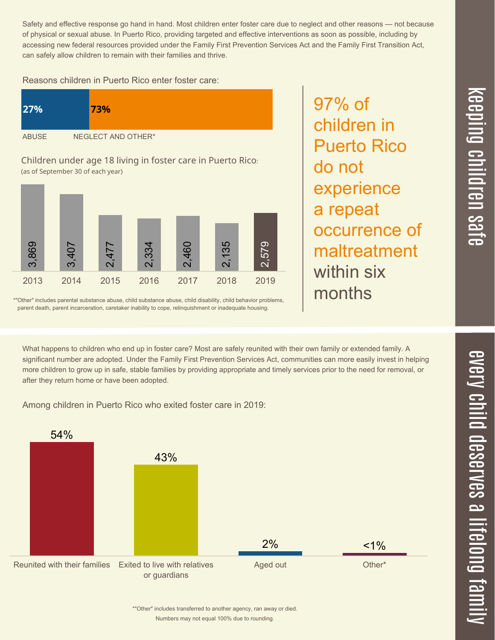$\overline{\mathbf \Theta}$  $\overline{\mathbf{C}}$ <u>pin</u>  $\overline{\mathbf{C}}$  $\overline{\mathbf{C}}$  $\equiv$  $\overline{\mathbf{c}}$  $\overline{\phantom{0}}$  $\boldsymbol{\mathcal{O}}$ a  $\overrightarrow{\mathbf{e}}$ 

 $\overline{\phantom{1}}$ 

Safety and effective response go hand in hand. Most children enter foster care due to neglect and other reasons — not because of physical or sexual abuse. In Puerto Rico, providing targeted and effective interventions as soon as possible, including by accessing new federal resources provided under the Family First Prevention Services Act and the Family First Transition Act, can safely allow children to remain with their families and thrive.

97% of

do not

children in

Puerto Rico

experience

occurrence of

maltreatment

a repeat

within six

months

Reasons children in Puerto Rico enter foster care:

| <b>27%</b>   | <b>73%</b>         |
|--------------|--------------------|
| <b>ABUSE</b> | NEGLECT AND OTHER* |

Children under age 18 living in foster care in Puerto Rico: (as of September 30 of each year)



\*"Other" includes parental substance abuse, child substance abuse, child disability, child behavior problems, parent death, parent incarceration, caretaker inability to cope, relinquishment or inadequate housing.

What happens to children who end up in foster care? Most are safely reunited with their own family or extended family. A significant number are adopted. Under the Family First Prevention Services Act, communities can more easily invest in helping more children to grow up in safe, stable families by providing appropriate and timely services prior to the need for removal, or after they return home or have been adopted.

Among children in Puerto Rico who exited foster care in 2019:



Numbers may not equal 100% due to rounding. \*"Other" includes transferred to another agency, ran away or died.  $\overline{\mathbf{C}}$